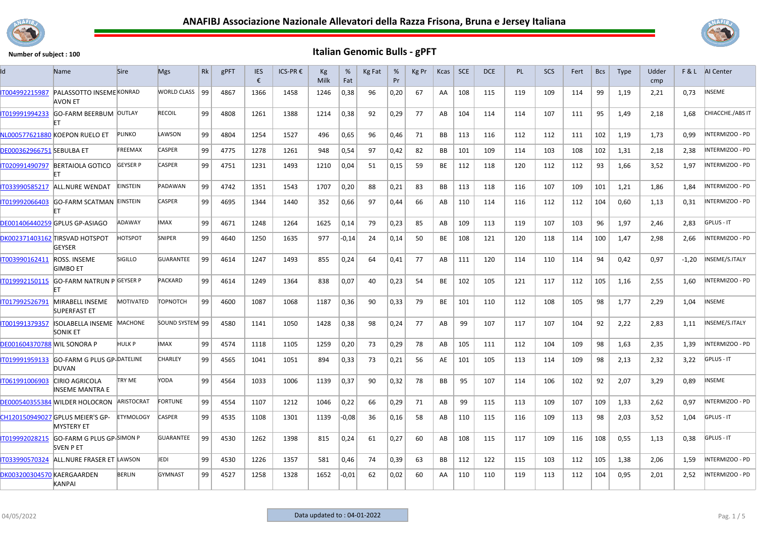



| ld                                 | <b>Name</b>                                           | Sire             | <b>Mgs</b>         | Rk | gPFT | <b>IES</b><br>€ | ICS-PR € | Kg<br>Milk | %<br>Fat | Kg Fat | %<br>Pr | Kg Pr | Kcas      | <b>SCE</b> | DCE | <b>PL</b> | <b>SCS</b> | Fert | <b>Bcs</b> | <b>Type</b> | Udder<br>cmp |         | F & L AI Center   |
|------------------------------------|-------------------------------------------------------|------------------|--------------------|----|------|-----------------|----------|------------|----------|--------|---------|-------|-----------|------------|-----|-----------|------------|------|------------|-------------|--------------|---------|-------------------|
| IT004992215987                     | PALASSOTTO INSEME KONRAD<br>AVON ET                   |                  | <b>WORLD CLASS</b> | 99 | 4867 | 1366            | 1458     | 1246       | 0,38     | 96     | 0,20    | 67    | AA        | 108        | 115 | 119       | 109        | 114  | 99         | 1,19        | 2,21         | 0,73    | INSEME            |
| IT019991994233                     | <b>GO-FARM BEERBUM OUTLAY</b>                         |                  | <b>RECOIL</b>      | 99 | 4808 | 1261            | 1388     | 1214       | 0,38     | 92     | 0,29    | 77    | AB        | 104        | 114 | 114       | 107        | 111  | 95         | 1,49        | 2,18         | 1,68    | CHIACCHE./ABS IT  |
|                                    | NL000577621880 KOEPON RUELO ET                        | <b>PLINKO</b>    | LAWSON             | 99 | 4804 | 1254            | 1527     | 496        | 0,65     | 96     | 0.46    | 71    | <b>BB</b> | 113        | 116 | 112       | 112        | 111  | 102        | 1,19        | 1,73         | 0.99    | INTERMIZOO - PD   |
| <b>DE000362966751 SEBULBA ET</b>   |                                                       | FREEMAX          | CASPER             | 99 | 4775 | 1278            | 1261     | 948        | 0,54     | 97     | 0.42    | 82    | BB        | 101        | 109 | 114       | 103        | 108  | 102        | 1,31        | 2,18         | 2,38    | INTERMIZOO - PD   |
| IT020991490797                     | <b>BERTAIOLA GOTICO</b>                               | <b>GEYSER P</b>  | CASPER             | 99 | 4751 | 1231            | 1493     | 1210       | 0,04     | 51     | 0,15    | 59    | BE        | 112        | 118 | 120       | 112        | 112  | 93         | 1,66        | 3,52         | 1,97    | INTERMIZOO - PD   |
| IT033990585217                     | ALL.NURE WENDAT                                       | <b>EINSTEIN</b>  | PADAWAN            | 99 | 4742 | 1351            | 1543     | 1707       | 0,20     | 88     | 0,21    | 83    | BB        | 113        | 118 | 116       | 107        | 109  | 101        | 1,21        | 1,86         | 1,84    | INTERMIZOO - PD   |
| IT019992066403                     | <b>GO-FARM SCATMAN EINSTEIN</b>                       |                  | CASPER             | 99 | 4695 | 1344            | 1440     | 352        | 0,66     | 97     | 0,44    | 66    | AB        | 110        | 114 | 116       | 112        | 112  | 104        | 0,60        | 1,13         | 0,31    | INTERMIZOO - PD   |
|                                    | DE001406440259 GPLUS GP-ASIAGO                        | ADAWAY           | <b>IMAX</b>        | 99 | 4671 | 1248            | 1264     | 1625       | 0,14     | 79     | 0,23    | 85    | AB        | 109        | 113 | 119       | 107        | 103  | 96         | 1,97        | 2,46         | 2,83    | <b>GPLUS - IT</b> |
|                                    | DK002371403162 TIRSVAD HOTSPOT<br><b>GEYSER</b>       | <b>HOTSPOT</b>   | SNIPER             | 99 | 4640 | 1250            | 1635     | 977        | -0,14    | 24     | 0,14    | 50    | BE        | 108        | 121 | 120       | 118        | 114  | 100        | 1,47        | 2,98         | 2,66    | INTERMIZOO - PD   |
| IT003990162411                     | ROSS, INSEME<br><b>GIMBO ET</b>                       | <b>SIGILLO</b>   | <b>GUARANTEE</b>   | 99 | 4614 | 1247            | 1493     | 855        | 0,24     | 64     | 0,41    | 77    | AB        | 111        | 120 | 114       | 110        | 114  | 94         | 0,42        | 0,97         | $-1,20$ | INSEME/S.ITALY    |
| IT019992150115                     | <b>GO-FARM NATRUN P GEYSER P</b>                      |                  | <b>PACKARD</b>     | 99 | 4614 | 1249            | 1364     | 838        | 0,07     | 40     | 0,23    | 54    | BE        | 102        | 105 | 121       | 117        | 112  | 105        | 1,16        | 2,55         | 1,60    | INTERMIZOO - PD   |
| IT017992526791                     | MIRABELL INSEME<br>SUPERFAST ET                       | <b>MOTIVATED</b> | <b>TOPNOTCH</b>    | 99 | 4600 | 1087            | 1068     | 1187       | 0,36     | 90     | 0,33    | 79    | BE        | 101        | 110 | 112       | 108        | 105  | 98         | 1,77        | 2,29         | 1,04    | INSEME            |
| IT001991379357                     | ISOLABELLA INSEME MACHONE<br><b>SONIK ET</b>          |                  | SOUND SYSTEM 99    |    | 4580 | 1141            | 1050     | 1428       | 0,38     | 98     | 0.24    | 77    | AB        | 99         | 107 | 117       | 107        | 104  | 92         | 2,22        | 2,83         | 1.11    | INSEME/S.ITALY    |
| <b>DE001604370788 WIL SONORA P</b> |                                                       | <b>HULK P</b>    | <b>IMAX</b>        | 99 | 4574 | 1118            | 1105     | 1259       | 0,20     | 73     | 0,29    | 78    | AB        | 105        | 111 | 112       | 104        | 109  | 98         | 1,63        | 2,35         | 1.39    | INTERMIZOO - PD   |
| IT019991959133                     | <b>GO-FARM G PLUS GP-DATELINE</b><br>DUVAN            |                  | CHARLEY            | 99 | 4565 | 1041            | 1051     | 894        | 0,33     | 73     | 0,21    | 56    | AE        | 101        | 105 | 113       | 114        | 109  | 98         | 2,13        | 2,32         | 3,22    | GPLUS - IT        |
| IT061991006903                     | CIRIO AGRICOLA<br>INSEME MANTRA E                     | <b>TRY ME</b>    | YODA               | 99 | 4564 | 1033            | 1006     | 1139       | 0,37     | 90     | 0,32    | 78    | BB        | 95         | 107 | 114       | 106        | 102  | 92         | 2,07        | 3,29         | 0,89    | INSEME            |
|                                    | DE000540355384 WILDER HOLOCRON                        | ARISTOCRAT       | <b>FORTUNE</b>     | 99 | 4554 | 1107            | 1212     | 1046       | 0,22     | 66     | 0.29    | 71    | AB        | 99         | 115 | 113       | 109        | 107  | 109        | 1.33        | 2.62         | 0.97    | INTERMIZOO - PD   |
|                                    | CH120150949027 GPLUS MEIER'S GP-<br><b>MYSTERY ET</b> | <b>ETYMOLOGY</b> | <b>CASPER</b>      | 99 | 4535 | 1108            | 1301     | 1139       | $-0,08$  | 36     | 0,16    | 58    | AB        | 110        | 115 | 116       | 109        | 113  | 98         | 2,03        | 3,52         | 1,04    | GPLUS - IT        |
| IT019992028215                     | GO-FARM G PLUS GP-SIMON P<br>SVEN P ET                |                  | <b>GUARANTEE</b>   | 99 | 4530 | 1262            | 1398     | 815        | 0,24     | 61     | 0,27    | 60    | AB        | 108        | 115 | 117       | 109        | 116  | 108        | 0,55        | 1,13         | 0,38    | <b>GPLUS - IT</b> |
| IT033990570324                     | ALL.NURE FRASER ET LAWSON                             |                  | <b>JEDI</b>        | 99 | 4530 | 1226            | 1357     | 581        | 0,46     | 74     | 0,39    | 63    | BB        | 112        | 122 | 115       | 103        | 112  | 105        | 1,38        | 2,06         | 1,59    | INTERMIZOO - PD   |
| DK003200304570 KAERGAARDEN         | <b>KANPAI</b>                                         | <b>BERLIN</b>    | <b>GYMNAST</b>     | 99 | 4527 | 1258            | 1328     | 1652       | -0,01    | 62     | 0,02    | 60    | AA        | 110        | 110 | 119       | 113        | 112  | 104        | 0,95        | 2,01         | 2,52    | INTERMIZOO - PD   |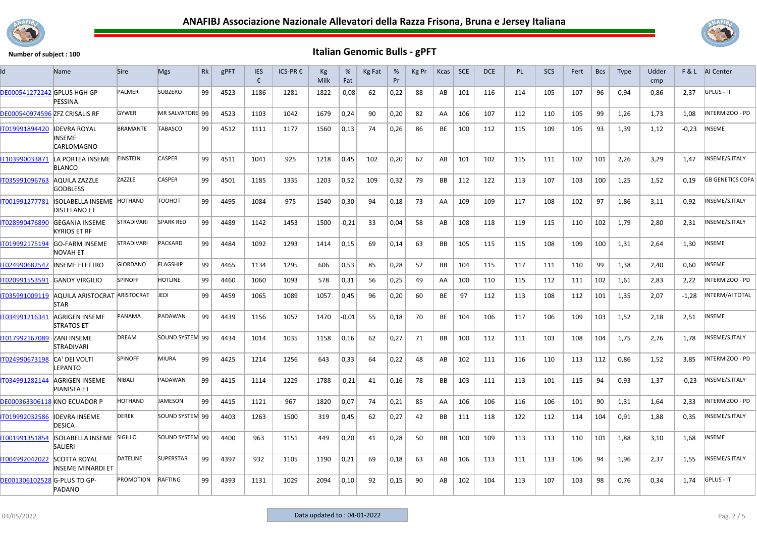



|                                       | Name                                               | <b>Sire</b>       | <b>Mgs</b>       | Rk | gPFT | <b>IES</b><br>€ | ICS-PR € | Kg<br>Milk | %<br>Fat | Kg Fat | %<br>Pr | Kg Pr | Kcas      | <b>SCE</b> | <b>DCE</b> | PL  | <b>SCS</b> | Fert | <b>Bcs</b> | <b>Type</b> | Udder<br>cmp |         | F & L AI Center         |
|---------------------------------------|----------------------------------------------------|-------------------|------------------|----|------|-----------------|----------|------------|----------|--------|---------|-------|-----------|------------|------------|-----|------------|------|------------|-------------|--------------|---------|-------------------------|
| <b>DE000541272242 GPLUS HGH GP-</b>   | PESSINA                                            | PALMER            | <b>SUBZERO</b>   | 99 | 4523 | 1186            | 1281     | 1822       | $-0,08$  | 62     | 0,22    | 88    | AB        | 101        | 116        | 114 | 105        | 107  | 96         | 0,94        | 0.86         | 2,37    | GPLUS - IT              |
| <b>DE000540974596 ZFZ CRISALIS RF</b> |                                                    | <b>GYWER</b>      | MR SALVATORE 99  |    | 4523 | 1103            | 1042     | 1679       | 0,24     | 90     | 0.20    | 82    | AA        | 106        | 107        | 112 | 110        | 105  | 99         | 1,26        | 1.73         | 1.08    | NTERMIZOO - PD          |
| IT019991894420                        | <b>IDEVRA ROYAL</b><br>INSEME<br>CARLOMAGNO        | <b>BRAMANTE</b>   | <b>TABASCO</b>   | 99 | 4512 | 1111            | 1177     | 1560       | 0,13     | 74     | 0,26    | 86    | BE        | 100        | 112        | 115 | 109        | 105  | 93         | 1,39        | 1,12         | $-0,23$ | NSEME                   |
| IT103990033871                        | LA PORTEA INSEME<br><b>BLANCO</b>                  | <b>EINSTEIN</b>   | <b>CASPER</b>    | 99 | 4511 | 1041            | 925      | 1218       | 0,45     | 102    | 0,20    | 67    | AB        | 101        | 102        | 115 | 111        | 102  | 101        | 2,26        | 3,29         | 1,47    | INSEME/S.ITALY          |
| IT035991096763                        | <b>AQUILA ZAZZLE</b><br><b>GODBLESS</b>            | ZAZZLE            | <b>CASPER</b>    | 99 | 4501 | 1185            | 1335     | 1203       | 0,52     | 109    | 0,32    | 79    | <b>BB</b> | 112        | 122        | 113 | 107        | 103  | 100        | 1,25        | 1,52         | 0,19    | <b>GB GENETICS COFA</b> |
| IT001991277781                        | <b>ISOLABELLA INSEME</b><br><b>DISTEFANO ET</b>    | <b>HOTHAND</b>    | тоонот           | 99 | 4495 | 1084            | 975      | 1540       | 0,30     | 94     | 0,18    | 73    | AA        | 109        | 109        | 117 | 108        | 102  | 97         | 1,86        | 3,11         | 0,92    | NSEME/S.ITALY           |
| IT028990476890                        | <b>GEGANIA INSEME</b><br>KYRIOS ET RF              | STRADIVARI        | <b>SPARK RED</b> | 99 | 4489 | 1142            | 1453     | 1500       | $-0,21$  | 33     | 0,04    | 58    | AB        | 108        | 118        | 119 | 115        | 110  | 102        | 1,79        | 2,80         | 2,31    | INSEME/S.ITALY          |
| IT019992175194                        | <b>GO-FARM INSEME</b><br>NOVAH ET                  | <b>STRADIVARI</b> | <b>PACKARD</b>   | 99 | 4484 | 1092            | 1293     | 1414       | 0,15     | 69     | 0,14    | 63    | <b>BB</b> | 105        | 115        | 115 | 108        | 109  | 100        | 1,31        | 2,64         | 1,30    | <b>INSEME</b>           |
| T024990682547                         | <b>INSEME ELETTRO</b>                              | <b>GIORDANO</b>   | <b>FLAGSHIP</b>  | 99 | 4465 | 1134            | 1295     | 606        | 0,53     | 85     | 0,28    | 52    | BB        | 104        | 115        | 117 | 111        | 110  | 99         | 1,38        | 2,40         | 0,60    | NSEME                   |
| IT020991553591                        | <b>GANDY VIRGILIO</b>                              | <b>SPINOFF</b>    | <b>HOTLINE</b>   | 99 | 4460 | 1060            | 1093     | 578        | 0,31     | 56     | 0,25    | 49    | AA.       | 100        | 110        | 115 | 112        | 111  | 102        | 1.61        | 2.83         | 2.22    | NTERMIZOO - PD          |
| IT035991009119                        | <b>AQUILA ARISTOCRAT ARISTOCRAT</b><br><b>STAR</b> |                   | JEDI             | 99 | 4459 | 1065            | 1089     | 1057       | 0,45     | 96     | 0,20    | 60    | BE        | 97         | 112        | 113 | 108        | 112  | 101        | 1,35        | 2,07         | $-1,28$ | INTERM/AI TOTAL         |
| IT034991216341                        | AGRIGEN INSEME<br><b>STRATOS ET</b>                | PANAMA            | PADAWAN          | 99 | 4439 | 1156            | 1057     | 1470       | $-0.01$  | 55     | 0,18    | 70    | <b>BE</b> | 104        | 106        | 117 | 106        | 109  | 103        | 1,52        | 2,18         | 2,51    | NSEME                   |
| IT017992167089                        | <b>ZANI INSEME</b><br><b>STRADIVARI</b>            | <b>DREAM</b>      | SOUND SYSTEM 99  |    | 4434 | 1014            | 1035     | 1158       | 0,16     | 62     | 0,27    | 71    | <b>BB</b> | 100        | 112        | 111 | 103        | 108  | 104        | 1,75        | 2,76         | 1,78    | NSEME/S.ITALY           |
| IT024990673198                        | <b>CA' DEI VOLTI</b><br><b>FPANTO</b>              | <b>SPINOFF</b>    | MIURA            | 99 | 4425 | 1214            | 1256     | 643        | 0,33     | 64     | 0,22    | 48    | AB        | 102        | 111        | 116 | 110        | 113  | 112        | 0,86        | 1,52         | 3,85    | NTERMIZOO - PD          |
| IT034991282144                        | <b>AGRIGEN INSEME</b><br><b>PIANISTA ET</b>        | NIBALI            | PADAWAN          | 99 | 4415 | 1114            | 1229     | 1788       | $-0,21$  | 41     | 0,16    | 78    | <b>BB</b> | 103        | 111        | 113 | 101        | 115  | 94         | 0,93        | 1,37         | $-0,23$ | INSEME/S.ITALY          |
| <b>DE000363306118 KNO ECUADOR P</b>   |                                                    | HOTHAND           | <b>AMESON</b>    | 99 | 4415 | 1121            | 967      | 1820       | 0,07     | 74     | 0,21    | 85    | AA        | 106        | 106        | 116 | 106        | 101  | 90         | 1,31        | 1,64         | 2.33    | NTERMIZOO - PD          |
| T019992032586                         | <b>IDEVRA INSEME</b><br><b>DESICA</b>              | <b>DEREK</b>      | SOUND SYSTEM 99  |    | 4403 | 1263            | 1500     | 319        | 0,45     | 62     | 0,27    | 42    | BB        | 111        | 118        | 122 | 112        | 114  | 104        | 0.91        | 1,88         | 0.35    | NSEME/S.ITALY           |
| IT001991351854                        | ISOLABELLA INSEME SIGILLO<br><b>SALIERI</b>        |                   | SOUND SYSTEM 99  |    | 4400 | 963             | 1151     | 449        | 0,20     | 41     | 0,28    | 50    | <b>BB</b> | 100        | 109        | 113 | 113        | 110  | 101        | 1,88        | 3,10         | 1,68    | <b>INSEME</b>           |
| IT004992042022                        | <b>SCOTTA ROYAL</b><br>INSEME MINARDI ET           | <b>DATELINE</b>   | <b>SUPERSTAR</b> | 99 | 4397 | 932             | 1105     | 1190       | 0,21     | 69     | 0,18    | 63    | AB        | 106        | 113        | 111 | 113        | 106  | 94         | 1,96        | 2,37         | 1,55    | NSEME/S.ITALY           |
| DE001306102528 G-PLUS TD GP-          | PADANO                                             | PROMOTION         | RAFTING          | 99 | 4393 | 1131            | 1029     | 2094       | 0,10     | 92     | 0,15    | 90    | AB        | 102        | 104        | 113 | 107        | 103  | 98         | 0,76        | 0,34         | 1,74    | <b>GPLUS - IT</b>       |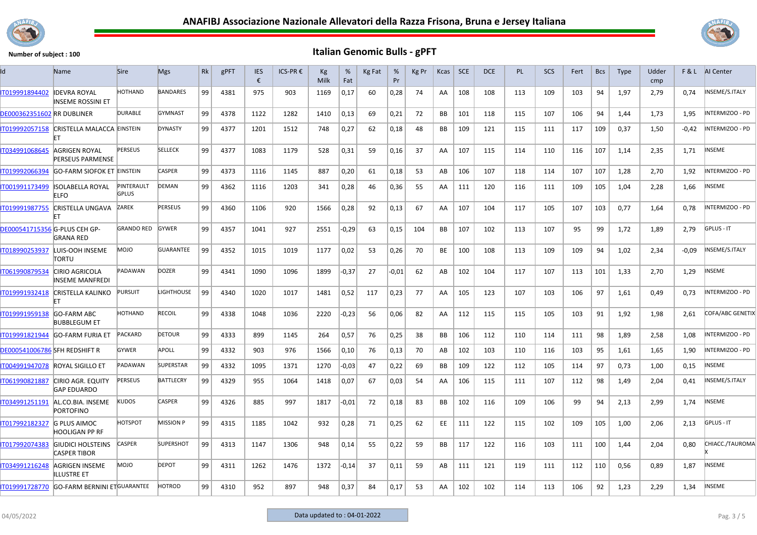



| ld                                   | Name                                            | <b>Sire</b>                | <b>Mgs</b>       | Rk | gPFT | <b>IES</b><br>€ | ICS-PR € | Kg<br>Milk | %<br>Fat | Kg Fat | %<br>Pr | Kg Pr | Kcas      | SCE | DCE | <b>PL</b> | SCS | Fert | <b>Bcs</b> | <b>Type</b> | Udder<br>cmp | F&L     | AI Center         |
|--------------------------------------|-------------------------------------------------|----------------------------|------------------|----|------|-----------------|----------|------------|----------|--------|---------|-------|-----------|-----|-----|-----------|-----|------|------------|-------------|--------------|---------|-------------------|
| IT019991894402                       | <b>IDEVRA ROYAL</b><br>INSEME ROSSINI ET        | <b>HOTHAND</b>             | <b>BANDARES</b>  | 99 | 4381 | 975             | 903      | 1169       | 0,17     | 60     | 0,28    | 74    | AA        | 108 | 108 | 113       | 109 | 103  | 94         | 1,97        | 2,79         | 0.74    | INSEME/S.ITALY    |
| <b>DE000362351602 RR DUBLINER</b>    |                                                 | <b>DURABLE</b>             | <b>GYMNAST</b>   | 99 | 4378 | 1122            | 1282     | 1410       | 0,13     | 69     | 0,21    | 72    | BB        | 101 | 118 | 115       | 107 | 106  | 94         | 1,44        | 1,73         | 1,95    | INTERMIZOO - PD   |
| IT019992057158                       | CRISTELLA MALACCA EINSTEIN                      |                            | <b>DYNASTY</b>   | 99 | 4377 | 1201            | 1512     | 748        | 0,27     | 62     | 0,18    | 48    | BB        | 109 | 121 | 115       | 111 | 117  | 109        | 0,37        | 1,50         | $-0,42$ | INTERMIZOO - PD   |
| IT034991068645                       | AGRIGEN ROYAL<br><b>PERSEUS PARMENSE</b>        | <b>PERSEUS</b>             | <b>SELLECK</b>   | 99 | 4377 | 1083            | 1179     | 528        | 0,31     | 59     | 0,16    | 37    | AA        | 107 | 115 | 114       | 110 | 116  | 107        | 1,14        | 2,35         | 1,71    | INSEME            |
| IT019992066394                       | <b>GO-FARM SIOFOK ET EINSTEIN</b>               |                            | <b>CASPER</b>    | 99 | 4373 | 1116            | 1145     | 887        | 0,20     | 61     | 0,18    | 53    | AB        | 106 | 107 | 118       | 114 | 107  | 107        | 1,28        | 2,70         | 1.92    | INTERMIZOO - PD   |
| IT001991173499                       | <b>ISOLABELLA ROYAL</b><br><b>FIFO</b>          | PINTERAULT<br><b>GPLUS</b> | <b>DEMAN</b>     | 99 | 4362 | 1116            | 1203     | 341        | 0,28     | 46     | 0,36    | 55    | AA.       | 111 | 120 | 116       | 111 | 109  | 105        | 1,04        | 2,28         | 1,66    | INSEME            |
| IT019991987755                       | <b>CRISTELLA UNGAVA</b>                         | ZAREK                      | <b>PERSEUS</b>   | 99 | 4360 | 1106            | 920      | 1566       | 0,28     | 92     | 0,13    | 67    | AA        | 107 | 104 | 117       | 105 | 107  | 103        | 0,77        | 1,64         | 0,78    | INTERMIZOO - PD   |
| <b>DE000541715356 G-PLUS CEH GP-</b> | <b>GRANA RED</b>                                | <b>GRANDO RED</b>          | <b>GYWER</b>     | 99 | 4357 | 1041            | 927      | 2551       | $-0,29$  | 63     | 0,15    | 104   | <b>BB</b> | 107 | 102 | 113       | 107 | 95   | 99         | 1,72        | 1,89         | 2,79    | <b>GPLUS - IT</b> |
| IT018990253937                       | LUIS-OOH INSEME<br>TORTU                        | <b>MOJO</b>                | <b>GUARANTEE</b> | 99 | 4352 | 1015            | 1019     | 1177       | 0,02     | 53     | 0,26    | 70    | BE        | 100 | 108 | 113       | 109 | 109  | 94         | 1,02        | 2,34         | $-0.09$ | INSEME/S.ITALY    |
| IT061990879534                       | <b>CIRIO AGRICOLA</b><br><b>NSEME MANFREDI</b>  | PADAWAN                    | <b>DOZER</b>     | 99 | 4341 | 1090            | 1096     | 1899       | $-0,37$  | 27     | $-0.01$ | 62    | AB        | 102 | 104 | 117       | 107 | 113  | 101        | 1,33        | 2,70         | 1,29    | INSEME            |
| IT019991932418                       | <b>CRISTELLA KALINKO</b>                        | <b>PURSUIT</b>             | LIGHTHOUSE       | 99 | 4340 | 1020            | 1017     | 1481       | 0,52     | 117    | 0,23    | 77    | AA        | 105 | 123 | 107       | 103 | 106  | 97         | 1,61        | 0,49         | 0,73    | INTERMIZOO - PD   |
| T019991959138                        | <b>GO-FARM ABC</b><br><b>BUBBLEGUM ET</b>       | <b>HOTHAND</b>             | <b>RECOIL</b>    | 99 | 4338 | 1048            | 1036     | 2220       | $-0,23$  | 56     | 0,06    | 82    | AA.       | 112 | 115 | 115       | 105 | 103  | 91         | 1,92        | 1,98         | 2,61    | COFA/ABC GENETIX  |
| IT019991821944                       | <b>GO-FARM FURIA ET</b>                         | <b>PACKARD</b>             | <b>DETOUR</b>    | 99 | 4333 | 899             | 1145     | 264        | 0,57     | 76     | 0,25    | 38    | BB        | 106 | 112 | 110       | 114 | 111  | 98         | 1,89        | 2,58         | 1,08    | INTERMIZOO - PD   |
| DE000541006786 SFH REDSHIFT R        |                                                 | <b>GYWER</b>               | APOLL            | 99 | 4332 | 903             | 976      | 1566       | 0,10     | 76     | 0,13    | 70    | AB        | 102 | 103 | 110       | 116 | 103  | 95         | 1,61        | 1,65         | 1,90    | INTERMIZOO - PD   |
| IT004991947078                       | <b>ROYAL SIGILLO ET</b>                         | PADAWAN                    | <b>SUPERSTAR</b> | 99 | 4332 | 1095            | 1371     | 1270       | $-0,03$  | 47     | 0,22    | 69    | BB        | 109 | 122 | 112       | 105 | 114  | 97         | 0,73        | 1,00         | 0,15    | NSEME             |
| IT061990821887                       | <b>CIRIO AGR. EQUITY</b><br><b>GAP EDUARDO</b>  | PERSEUS                    | <b>BATTLECRY</b> | 99 | 4329 | 955             | 1064     | 1418       | 0,07     | 67     | 0,03    | 54    | AA        | 106 | 115 | 111       | 107 | 112  | 98         | 1,49        | 2,04         | 0,41    | INSEME/S.ITALY    |
| IT034991251191                       | AL.CO.BIA. INSEME<br><b>PORTOFINO</b>           | KUDOS                      | <b>CASPER</b>    | 99 | 4326 | 885             | 997      | 1817       | $-0,01$  | 72     | 0,18    | 83    | BB        | 102 | 116 | 109       | 106 | 99   | 94         | 2,13        | 2,99         | 1,74    | NSEME             |
| IT017992182327                       | <b>G PLUS AIMOC</b><br><b>HOOLIGAN PP RF</b>    | <b>HOTSPOT</b>             | <b>MISSION P</b> | 99 | 4315 | 1185            | 1042     | 932        | 0,28     | 71     | 0,25    | 62    | EE        | 111 | 122 | 115       | 102 | 109  | 105        | 1,00        | 2,06         | 2,13    | <b>GPLUS - IT</b> |
| IT017992074383                       | <b>GIUDICI HOLSTEINS</b><br><b>CASPER TIBOR</b> | <b>CASPER</b>              | <b>SUPERSHOT</b> | 99 | 4313 | 1147            | 1306     | 948        | 0,14     | 55     | 0,22    | 59    | BB        | 117 | 122 | 116       | 103 | 111  | 100        | 1,44        | 2,04         | 0,80    | CHIACC./TAUROMA   |
| IT034991216248                       | AGRIGEN INSEME<br>LLUSTRE ET                    | <b>DIOM</b>                | <b>DEPOT</b>     | 99 | 4311 | 1262            | 1476     | 1372       | $-0,14$  | 37     | 0,11    | 59    | AB        | 111 | 121 | 119       | 111 | 112  | 110        | 0,56        | 0,89         | 1,87    | INSEME            |
| T019991728770                        | <b>GO-FARM BERNINI ETGUARANTEE</b>              |                            | <b>HOTROD</b>    | 99 | 4310 | 952             | 897      | 948        | 0,37     | 84     | 0,17    | 53    | AA        | 102 | 102 | 114       | 113 | 106  | 92         | 1,23        | 2.29         | 1.34    | <b>INSEME</b>     |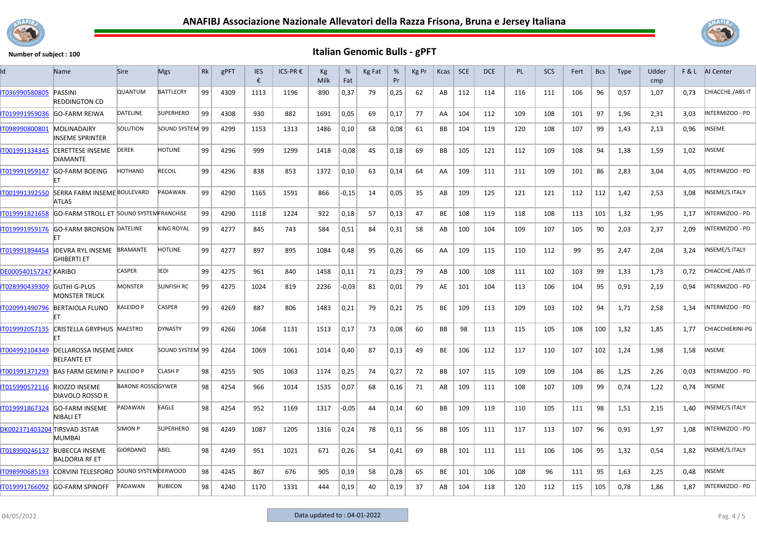



| Id                                  | <b>Name</b>                                          | <b>Sire</b>              | <b>Mgs</b>        | Rk | gPFT | <b>IES</b><br>€ | ICS-PR € | Кg<br>Milk | %<br>Fat | Kg Fat | %<br>Pr | Kg Pr | Kcas | <b>SCE</b> | <b>DCE</b> | <b>PL</b> | <b>SCS</b> | Fert | <b>Bcs</b> | <b>Type</b> | Udder<br>cmp | F&L  | <b>AI</b> Center        |
|-------------------------------------|------------------------------------------------------|--------------------------|-------------------|----|------|-----------------|----------|------------|----------|--------|---------|-------|------|------------|------------|-----------|------------|------|------------|-------------|--------------|------|-------------------------|
| IT036990580805                      | PASSINI<br><b>REDDINGTON CD</b>                      | QUANTUM                  | <b>BATTLECRY</b>  | 99 | 4309 | 1113            | 1196     | 890        | 0,37     | 79     | 0,25    | 62    | AB   | 112        | 114        | 116       | 111        | 106  | 96         | 0,57        | 1,07         | 0,73 | CHIACCHE./ABS IT        |
| IT019991959036                      | <b>GO-FARM REIWA</b>                                 | <b>DATELINE</b>          | <b>SUPERHERO</b>  | 99 | 4308 | 930             | 882      | 1691       | 0,05     | 69     | 0,17    | 77    | AA   | 104        | 112        | 109       | 108        | 101  | 97         | 1,96        | 2,31         | 3,03 | INTERMIZOO - PD         |
| IT098990800801                      | MOLINADAIRY<br><b>NSEME SPRINTER</b>                 | SOLUTION                 | SOUND SYSTEM 99   |    | 4299 | 1153            | 1313     | 1486       | 0,10     | 68     | 0,08    | 61    | BB   | 104        | 119        | 120       | 108        | 107  | 99         | 1,43        | 2,13         | 0,96 | <b>NSEME</b>            |
| IT001991334345                      | <b>CERETTESE INSEME</b><br><b>DIAMANTE</b>           | <b>DEREK</b>             | <b>HOTLINE</b>    | 99 | 4296 | 999             | 1299     | 1418       | $-0,08$  | 45     | 0,18    | 69    | BB   | 105        | 121        | 112       | 109        | 108  | 94         | 1,38        | 1,59         | 1,02 | <b>NSEME</b>            |
| IT019991959147                      | <b>GO-FARM BOEING</b>                                | <b>HOTHAND</b>           | <b>RECOIL</b>     | 99 | 4296 | 838             | 853      | 1372       | 0,10     | 63     | 0,14    | 64    | AA   | 109        | 111        | 111       | 109        | 101  | 86         | 2,83        | 3,04         | 4,05 | INTERMIZOO - PD         |
| IT001991392550                      | <b>SERRA FARM INSEME BOULEVARD</b><br>ATLAS          |                          | PADAWAN           | 99 | 4290 | 1165            | 1591     | 866        | $-0,15$  | 14     | 0,05    | 35    | AB   | 109        | 125        | 121       | 121        | 112  | 112        | 1,42        | 2,53         | 3,08 | INSEME/S.ITALY          |
| IT019991821658                      | <b>GO-FARM STROLL ET SOUND SYSTEMFRANCHISE</b>       |                          |                   | 99 | 4290 | 1118            | 1224     | 922        | 0,18     | 57     | 0,13    | 47    | BE   | 108        | 119        | 118       | 108        | 113  | 101        | 1,32        | 1,95         | 1.17 | INTERMIZOO - PD         |
| T019991959176                       | <b>GO-FARM BRONSON DATELINE</b>                      |                          | <b>KING ROYAL</b> | 99 | 4277 | 845             | 743      | 584        | 0,51     | 84     | 0,31    | 58    | AB   | 100        | 104        | 109       | 107        | 105  | 90         | 2,03        | 2,37         | 2,09 | INTERMIZOO - PD         |
| IT019991894454                      | <b>IDEVRA RYL INSEME</b><br><b>GHIBERTI ET</b>       | BRAMANTE                 | <b>HOTLINE</b>    | 99 | 4277 | 897             | 895      | 1084       | 0,48     | 95     | 0,26    | 66    | AA   | 109        | 115        | 110       | 112        | 99   | 95         | 2,47        | 2,04         | 3,24 | INSEME/S.ITALY          |
| <b>DE000540157247 KARIBO</b>        |                                                      | CASPER                   | JEDI              | 99 | 4275 | 961             | 840      | 1458       | 0,11     | 71     | 0,23    | 79    | AB   | 100        | 108        | 111       | 102        | 103  | 99         | 1,33        | 1,73         | 0,72 | CHIACCHE./ABS IT        |
| IT028990439309                      | <b>GUTHI G-PLUS</b><br><b>MONSTER TRUCK</b>          | <b>MONSTER</b>           | <b>SUNFISH RC</b> | 99 | 4275 | 1024            | 819      | 2236       | $-0,03$  | -81    | 0,01    | 79    | AE   | 101        | 104        | 113       | 106        | 104  | 95         | 0,91        | 2,19         | 0,94 | INTERMIZOO - PD         |
| IT020991490796                      | <b>BERTAIOLA FLUNO</b>                               | KALEIDO P                | <b>CASPER</b>     | 99 | 4269 | 887             | 806      | 1483       | 0,21     | 79     | 0,21    | 75    | BE   | 109        | 113        | 109       | 103        | 102  | 94         | 1,71        | 2,58         | 1,34 | INTERMIZOO - PD         |
| IT019992057135                      | CRISTELLA GRYPHUS MAESTRO                            |                          | <b>DYNASTY</b>    | 99 | 4266 | 1068            | 1131     | 1513       | 0,17     | 73     | 0,08    | 60    | BB   | 98         | 113        | 115       | 105        | 108  | 100        | 1,32        | 1,85         | 1,77 | <b>CHIACCHIERINI-PG</b> |
| IT004992104349                      | <b>DELLAROSSA INSEME ZAREK</b><br><b>BELFANTE ET</b> |                          | SOUND SYSTEM 99   |    | 4264 | 1069            | 1061     | 1014       | 0,40     | 87     | 0,13    | 49    | BE   | 106        | 112        | 117       | 110        | 107  | 102        | 1,24        | 1,98         | 1,58 | NSEME                   |
| IT001991371293                      | <b>BAS FARM GEMINI P KALEIDO P</b>                   |                          | <b>CLASH P</b>    | 98 | 4255 | 905             | 1063     | 1174       | 0,25     | 74     | 0,27    | 72    | BB   | 107        | 115        | 109       | 109        | 104  | 86         | 1,25        | 2,26         | 0,03 | INTERMIZOO - PD         |
| T015990572116                       | <b>RIOZZO INSEME</b><br><b>DIAVOLO ROSSO R</b>       | <b>BARONE ROSSOGYWER</b> |                   | 98 | 4254 | 966             | 1014     | 1535       | 0,07     | 68     | 0,16    | 71    | AB   | 109        | 111        | 108       | 107        | 109  | 99         | 0,74        | 1,22         | 0,74 | INSEME                  |
| IT019991867324                      | <b>GO-FARM INSEME</b><br>NIBALI ET                   | PADAWAN                  | EAGLE             | 98 | 4254 | 952             | 1169     | 1317       | $-0,05$  | 44     | 0,14    | 60    | BB   | 109        | 119        | 110       | 105        | 111  | 98         | 1,51        | 2,15         | 1,40 | INSEME/S.ITALY          |
| <b>DK002371403204 TIRSVAD 3STAR</b> | MUMBAI                                               | SIMON P                  | <b>SUPERHERO</b>  | 98 | 4249 | 1087            | 1205     | 1316       | 0,24     | 78     | 0,11    | 56    | BB   | 105        | 111        | 117       | 113        | 107  | 96         | 0,91        | 1,97         | 1,08 | INTERMIZOO - PD         |
| IT018990246137                      | <b>BUBECCA INSEME</b><br><b>BALDORIA RF ET</b>       | <b>GIORDANO</b>          | ABEL              | 98 | 4249 | 951             | 1021     | 671        | 0,26     | 54     | 0,41    | 69    | BB   | 101        | 111        | 111       | 106        | 106  | 95         | 1,32        | 0,54         | 1,82 | INSEME/S.ITALY          |
| IT098990685193                      | CORVINI TELESFORO SOUND SYSTEM DERWOOD               |                          |                   | 98 | 4245 | 867             | 676      | 905        | 0,19     | 58     | 0,28    | 65    | BE   | 101        | 106        | 108       | 96         | 111  | 95         | 1,63        | 2,25         | 0,48 | <b>NSEME</b>            |
| IT019991766092                      | <b>GO-FARM SPINOFF</b>                               | PADAWAN                  | <b>RUBICON</b>    | 98 | 4240 | 1170            | 1331     | 444        | 0,19     | 40     | 0,19    | 37    | AB   | 104        | 118        | 120       | 112        | 115  | 105        | 0,78        | 1,86         | 1,87 | INTERMIZOO - PD         |